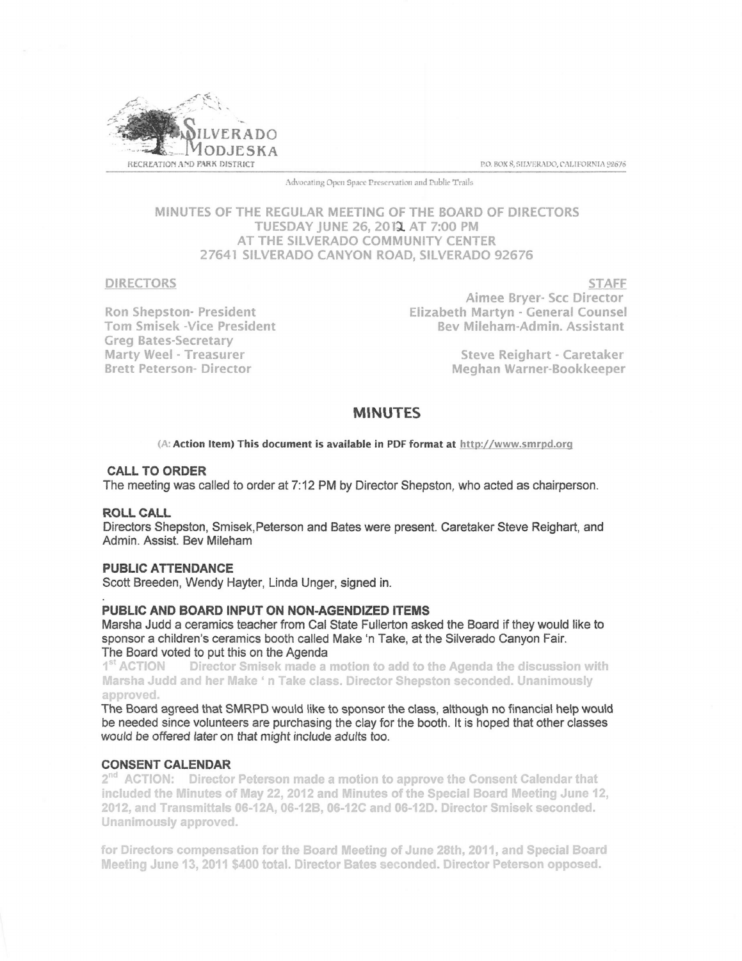

Advocating Open Space Preservation and Public Trails

# MINUTES OF THE REGULAR MEETING OF THE BOARD OF DIRECTORS TUESDAY JUNE 26, 2012 AT 7:00 PM AT THE SILVERADO COMMUNITY CENTER 27641 SILVERADO CANYON ROAD, SILVERADO 92676

DIRECTORS

Ron Shepston- President Tom Smisek -Vice President Greg Bates-Secretary Marty Weel - Treasurer Brett Peterson- Director

**STAFF** Aimee Bryer- Scc Director Elizabeth Martyn - General Counsel Bev Mileham-Admin. Assistant

> Steve Reighart - Caretaker Meghan Warner-Bookkeeper

# MINUTES

(A: Action Item) This document is available in PDF format at http://www.smrpd.org

### CALL TO ORDER

The meeting was called to order at 7:12 PM by Director Shepston, who acted as chairperson.

#### ROLL CALL

Directors Shepston, Smisek,Peterson and Bates were present. Caretaker Steve Reighart, and Admin. Assist. Bev Mileham

# PUBLIC ATTENDANCE

Scott Breeden, Wendy Hayter, Linda Unger, signed in.

### PUBLIC AND BOARD INPUT ON NON-AGENDIZED ITEMS

Marsha Judd a ceramics teacher from Cal State Fullerton asked the Board if they would like to sponsor a children's ceramics booth called Make 'n Take, at the Silverado Canyon Fair. The Board voted to put this on the Agenda

1<sup>st</sup> ACTION Director Smisek made a motion to add to the Agenda the discussion with Marsha Judd and her Make ' n Take class. Director Shepston seconded. Unanimously<br>----------approved.

The Board agreed that SMRPD would tike to sponsor the class, although no financial help woutd be needed since volunteers are purchasing the clay for the booth. lt is hoped that other classes would be offered later on that might include adults too.

#### CONSENT CALENDAR

 $2<sup>nd</sup>$  ACTION: Director Peterson made a motion to approve the Consent Calendar that included the Minutes of May 22, 2012 and Minutes of the Special Board Meeting June 12, 2012, and Transmittals 06-12A, 06-12B, 06-12C and 06-12D. Director Smisek seconded. Unanimously approved.

for Directors compensation for the Board Meeting of June 28th, 2011, and Special Board Meeting June 13, 2011 \$400 total. Director Bates seconded. Director Peterson opposed.